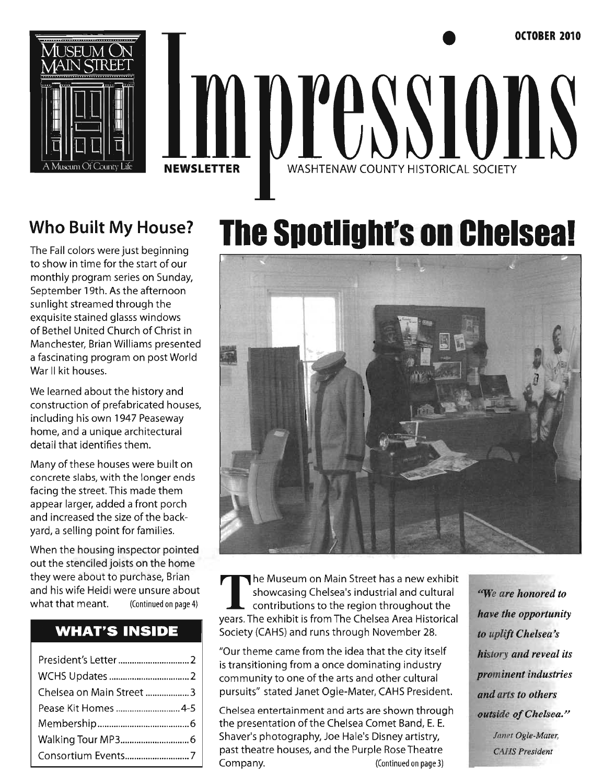

# • **OCTOBER 2010**  mpressions **NEWSLETTER** WASHTENAW COUNTY HISTORICAL SOCIETY

# **Who Built My House?**

The Fall colors were just beginning to show in time for the start of our monthly program series on Sunday, September 19th. As the afternoon sunlight streamed through the exquisite stained glasss windows of Bethel United Church of Christ in Manchester, Brian Williams presented a fascinating program on post World War II kit houses.

We learned about the history and construction of prefabricated houses, including his own 1947 Peaseway home, and a unique architectural detail that identifies them.

Many of these houses were built on concrete slabs, with the longer ends facing the street. This made them appear larger, added a front porch and increased the size of the backyard, a selling point for families.

When the housing inspector pointed out the stenciled joists on the home they were about to purchase, Brian and his wife Heidi were unsure about what that meant. (Continued on page 4)

# **WHAT'S INSIDE**

| Chelsea on Main Street 3 |  |
|--------------------------|--|
|                          |  |
|                          |  |
|                          |  |
| Consortium Events7       |  |

# **The** Spotlight's on **Chelseal**



The Museum on Main Street has a new exhibit<br>showcasing Chelsea's industrial and cultural<br>contributions to the region throughout the showcasing Chelsea's industrial and cultural *"'We are honored to*  contributions to the region throughout the years. The exhibit is from The Chelsea Area Historical *have the opportunity*  Society (CAHS) and runs through November 28. *to uplift Chelsea's* 

"Our theme came from the idea that the city itself *history and reveal its*  is transitioning from a once dominating industry community to one of the arts and other cultural *prominent industries*  pursuits" stated Janet Ogle-Mater, CAHS President. *and arts to others* 

Chelsea entertainment and arts are shown through *outside ofChelsea/'*  the presentation of the Chelsea Comet Band, E. E. Shaver's photography, Joe Hale's Disney artistry, *Janet Ogle-Mater,*  past theatre houses, and the Purple Rose Theatre *CAHS President*  Company. (Continued on page 3)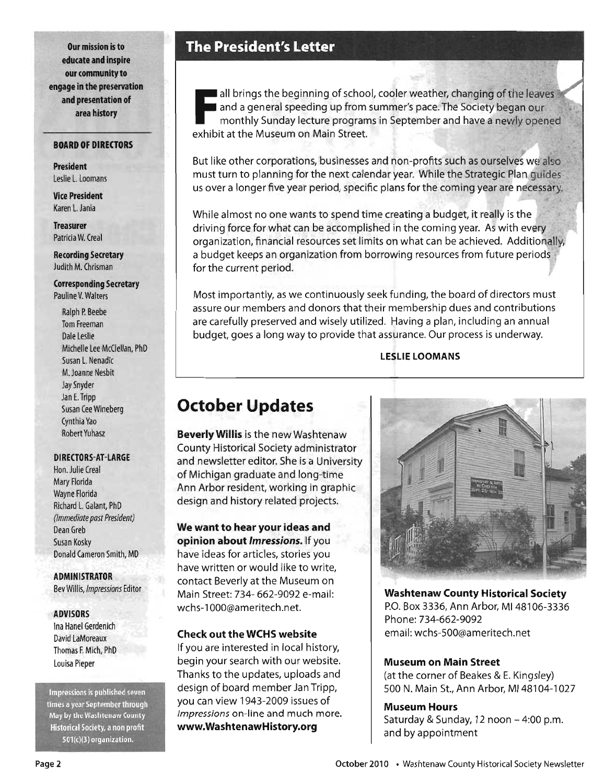**Our mission is to educate and inspire our community to engage in the preservation and presentation of area history** 

#### **BOARD OF DIRECTORS**

**President**  Leslie L. Loomans

**Vice President**  Karen L. Jania

**Treasurer**  Patricia W. Creal

**Recording Secretary**  Judith M. Chrisman

**Corresponding Secretary**  Pauline V. Walters

Ralph P. Beebe Tom Freeman Dale Leslie Michelle Lee McClellan, PhD Susan L. Nenadic M. Joanne Nesbit Jay Snyder Jan E. Tripp Susan Cee Wineberg Cynthia Yao Robert Yuhasz

#### **DIRECTORS-AT -LARGE**

Hon. Julie Creal Mary Florida Wayne Florida Richard L. Galant, PhD *(Immediate past President)*  Dean Greb Susan Kosky . Donald Cameron Smith, MD

**ADMINISTRATOR**  Bev *Willis,lmpressions* Editor

#### **ADVISORS**

Ina Hanel Gerdenich David LaMoreaux Thomas F. Mich, PhD Louisa Pieper

Impressions is published seven times a year September through May by the Washtenaw County Historical Society, a non profit  $501(c)(3)$  organization.

# **The President's Letter**

all brings the beginning of school<br>and a general speeding up from s<br>monthly Sunday lecture program<br>exhibit at the Museum on Main Street. all brings the beginning of school, cooler weather, changing of the leaves and a general speeding up from summer's pace. The Society began our monthly Sunday lecture programs in September and have a newly opened

But like other corporations, businesses and non-profits such as ourselves we also must turn to planning for the next calendar year. While the Strategic Plan guides us over a longer five year period, specific plans for the coming year are necessary.

While almost no one wants to spend time creating a budget, it really is the driving force for what can be accomplished in the coming year. As with every organization, financial resources set limits on what can be achieved. Additionally, a budget keeps an organization from borrowing resources from future periods for the current period.

Most importantly, as we continuously seek funding, the board of directors must assure our members and donors that their membership dues and contributions are carefully preserved and wisely utilized. Having a plan, including an annual budget, goes a long way to provide that assurance. Our process is underway.

**LESLIE LOOMANS** 

# **October Updates**

**Beverly Willis** is the new Washtenaw County Historical Society administrator and newsletter editor. She is a University of Michigan graduate and long-time Ann Arbor resident, working in graphic design and history related projects.

**We want to hear your ideas and opinion about** *Imressions.* If you have ideas for articles, stories you have written or would like to write, contact Beverly at the Museum on Main Street: 734- 662-9092 e-mail: wchs-1000@ameritech.net.

#### **Check out the WCHS website**

If you are interested in local history, begin your search with our website. Thanks to the updates, uploads and design of board member Jan Tripp, you can view 1943-2009 issues of *Impressions* on-line and much more. **www.WashtenawHistory.org** 



**Washtenaw County Historical Society**  P.O. Box 3336, Ann Arbor, MI 48106-3336 Phone: 734-662-9092 email: wchs-500@ameritech.net

#### **Museum on Main Street**

(at the corner of Beakes & E. Kingsley) 500 N. Main St., Ann Arbor, MI 48104-1027

#### **Museum Hours**

Saturday & Sunday, 12 noon  $-4:00$  p.m. and by appointment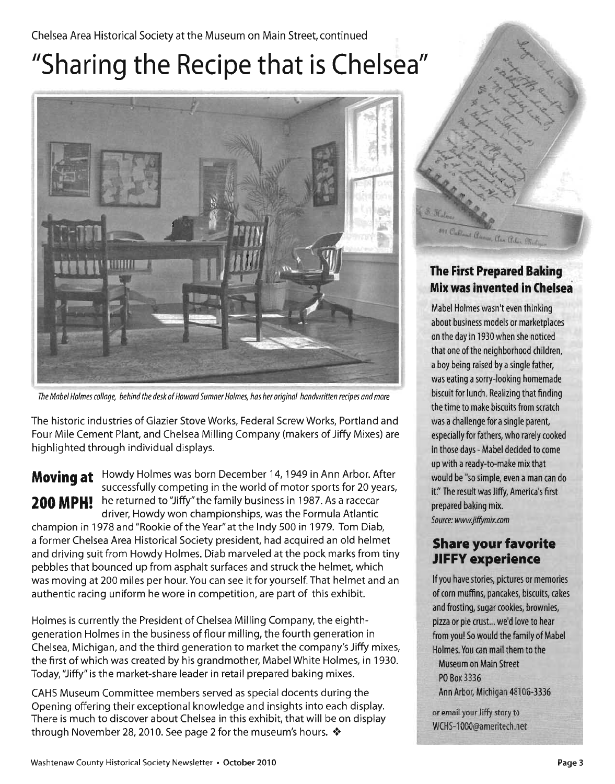#### Chelsea Area Historical Society at the Museum on Main Street, continued

# **"Sharing the Recipe that is Chelsea"**



The Mabel Holmes col/age, behind the desk of Howard Sumner Holmes, has her original handwritten recipes and more

The historic industries of Glazier Stove Works, Federal Screw Works, Portland and Four Mile Cement Plant, and Chelsea Milling Company (makers of Jiffy Mixes) are highlighted through individual displays.

**Moving at** Howdy Holmes was born December 14, 1949 in Ann Arbor. After successfully competing in the world of motor sports for 20 years, 200 MPH! he returned to "Jiffy" the family business in 1987. As a racecar driver, Howdy won championships, was the Formula Atlantic champion in 1978 and "Rookie of the Year" at the Indy 500 in 1979. Tom Diab, a former Chelsea Area Historical Society president, had acquired an old helmet and driving suit from Howdy Holmes. Diab marveled at the pock marks from tiny pebbles that bounced up from asphalt surfaces and struck the helmet, which was moving at 200 miles per hour. You can see it for yourself. That helmet and an

authentic racing uniform he wore in competition, are part of this exhibit.

Holmes is currently the President of Chelsea Milling Company, the eighthgeneration Holmes in the business of flour milling, the fourth generation in Chelsea, Michigan, and the third generation to market the company's Jiffy mixes, the first of which was created by his grandmother, Mabel White Holmes, in 1930. Today, "Jiffy" is the market-share leader in retail prepared baking mixes.

CAHS Museum Committee members served as special docents during the Opening offering their exceptional knowledge and insights into each display. There is much to discover about Chelsea in this exhibit, that will be on display through November 28, 2010. See page 2 for the museum's hours.  $\cdot$ 



### **The First Prepared Baking Mix was invented in Chelsea**

Mabel Holmes wasn't even thinking about business models or marketplaces on the day in 1930 when she noticed that one of the neighborhood children, a boy being raised by a single father, was eating a sorry-looking homemade biscuit for lunch. Realizing that finding the time to make biscuits from scratch was a challenge for a single parent, especially for fathers, who rarely cooked in those days - Mabel decided to come up with a ready-to-make mix that would be "so simple, even a man can do it." The result was Jiffy, America's first prepared baking mix. Source: wwwjiffymix.com

### **Share your favorite**  JIFFY experience

If you have stories, pictures or memories of corn muffins, pancakes, biscuits, cakes and frosting, sugar cookies, brownies, pizza or pie crust... we'd love to hear from you! So would the family of Mabel Holmes. You can mail them to the Museum on Main Street PO Box 3336 Ann Arbor, Michigan 48106-3336

or email your Jiffy story to WCHS-1000@ameritech.net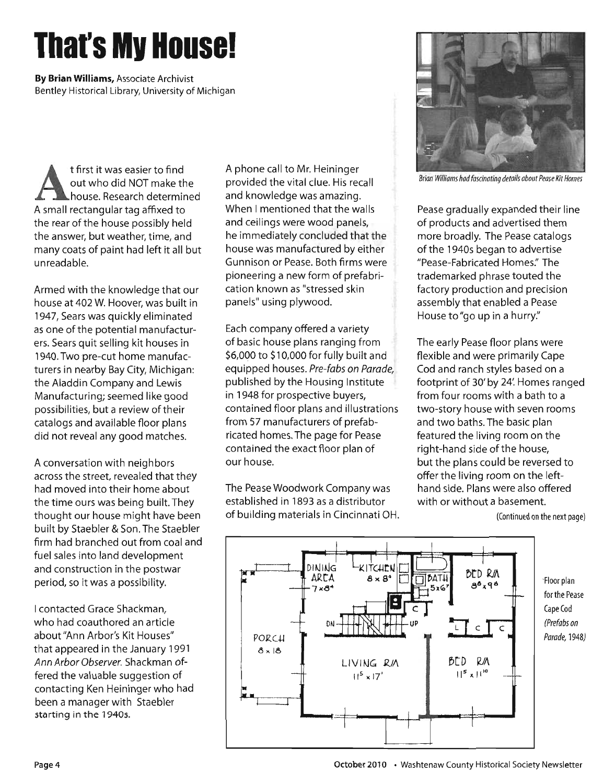# **Thai'S Mv House!**

**By Brian Williams,** Associate Archivist Bentley Historical Library, University of Michigan

t first it was easier to find<br>
out who did NOT make the<br>
house. Research determined out who did NOT make the house. Research determined A small rectangular tag affixed to the rear of the house possibly held the answer, but weather, time, and many coats of paint had left it all but unreadable.

Armed with the knowledge that our house at 402 W. Hoover, was built in 1947, Sears was quickly eliminated as one of the potential manufacturers. Sears quit selling kit houses in 1940. Two pre-cut home manufacturers in nearby Bay City, Michigan: the Aladdin Company and Lewis Manufacturing; seemed like good possibilities, but a review of their catalogs and available floor plans did not reveal any good matches.

A conversation with neighbors across the street, revealed that they had moved into their home about the time ours was being built. They thought our house might have been built by Staebler & Son. The Staebler firm had branched out from coal and fuel sales into land development and construction in the postwar period, so it was a possibility.

I contacted Grace Shackman, who had coauthored an article about "Ann Arbor's Kit Houses" that appeared in the January 1991 Ann Arbor Observer. Shackman offered the valuable suggestion of contacting Ken Heininger who had been a manager with Staebler starting in the 19405.

A phone call to Mr. Heininger provided the vital clue. His recall and knowledge was amazing. When I mentioned that the walls and ceilings were wood panels, he immediately concluded that the house was manufactured by either Gunnison or Pease. Both firms were pioneering a new form of prefabrication known as "stressed skin panels" using plywood.

Each company offered a variety of basic house plans ranging from \$6,000 to \$10,000 for fully built and equipped houses. Pre-fabs on Parade, published by the Housing Institute in 1948 for prospective buyers, contained floor plans and illustrations from 57 manufacturers of prefabricated homes. The page for Pease contained the exact floor plan of our house.

The Pease Woodwork Company was established in 1893 as a distributor of building materials in Cincinnati OH.



Brian Williams had fascinating details about Pease Kit Homes

Pease gradually expanded their line of products and advertised them more broadly. The Pease catalogs of the 1940s began to advertise "Pease-Fabricated Homes:' The trademarked phrase touted the factory production and precision assembly that enabled a Pease House to "go up in a hurry."

The early Pease floor plans were flexible and were primarily Cape Cod and ranch styles based on a footprint of 30' by 24: Homes ranged from four rooms with a bath to a two-story house with seven rooms and two baths. The basic plan featured the living room on the right-hand side of the house, but the plans could be reversed to offer the living room on the lefthand side. Plans were also offered with or without a basement.

(Continued on the next page)



-Floor plan for the Pease Cape Cod (Prefabs on Parade, 1948)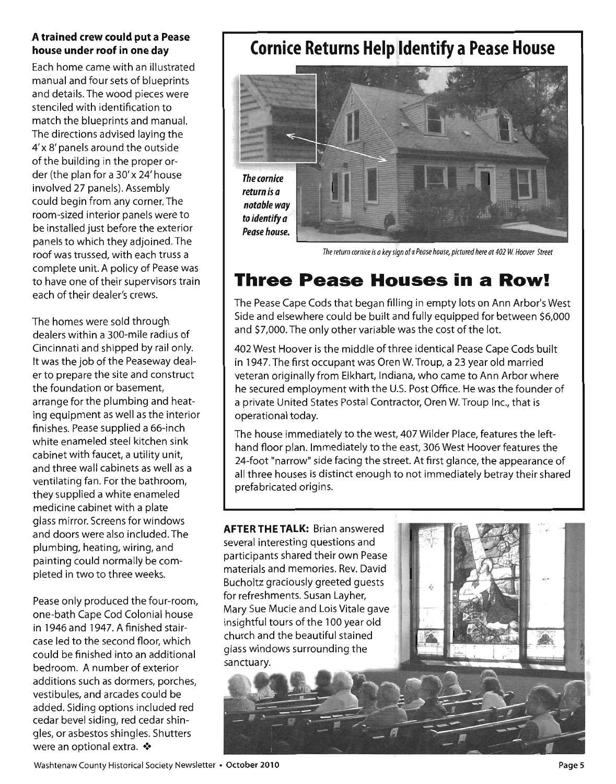#### **A trained crew could put a Pease house under roof in one day**

Each home came with an illustrated manual and four sets of blueprints and details. The wood pieces were stenciled with identification to match the blueprints and manual. The directions advised laying the 4' x 8' panels around the outside of the building in the proper order (the plan for a 30' x 24' house involved 27 panels). Assembly could begin from any corner. The room-sized interior panels were to be installed just before the exterior panels to which they adjoined. The roof was trussed, with each truss a complete unit. A policy of Pease was to have one of their supervisors train each of their dealer's crews.

The homes were sold through dealers within a 300-mile radius of Cincinnati and shipped by rail only. It was the job of the Peaseway dealer to prepare the site and construct the foundation or basement, arrange for the plumbing and heating equipment as well as the interior finishes. Pease supplied a 66-inch white enameled steel kitchen sink cabinet with faucet, a utility unit, and three wall cabinets as well as a ventilating fan. For the bathroom, they supplied a white enameled medicine cabinet with a plate glass mirror. Screens for Windows and doors were also included. The plumbing, heating, wiring, and painting could normally be completed in two to three weeks.

Pease only produced the four-room, one-bath Cape Cod Colonial house in 1946 and 1947. A finished staircase led to the second floor, which could be finished into an additional bedroom. A number of exterior additions such as dormers, porches, vestibules, and arcades could be added. Siding options included red cedar bevel siding, red cedar shingles, or asbestos shingles. Shutters were an optional extra.  $\cdot$ 

# **Cornice Returns Help Identify a Pease House**



The return cornice is a key sign of a Pease house, pictured here at 402 W. Hoover Street

# **Three Pease Houses in a Row!**

The Pease Cape Cods that began filling in empty lots on Ann Arbor's West Side and elsewhere could be built and fully equipped for between \$6,000 and \$7,000. The only other variable was the cost of the lot.

402 West Hoover is the middle of three identical Pease Cape Cods built in 1947. The first occupant was Oren W. Troup, a 23 year old married veteran originally from Elkhart, Indiana, who came to Ann Arbor where he secured employment with the U.S. Post Office. He was the founder of a private United States Postal Contractor, Oren W. Troup Inc., that is operational today.

The house immediately to the west, 407 Wilder Place, features the lefthand floor plan. Immediately to the east, 306 West Hoover features the 24-foot "narrow" side facing the street. At first glance, the appearance of all three houses is distinct enough to not immediately betray their shared prefabricated origins.

**AFTER THE TALK:** Brian answered several interesting questions and participants shared their own Pease materials and memories. Rev. David Bucholtz graciously greeted guests for refreshments. Susan Layher, Mary Sue Mucie and Lois Vitale gave insightful tours of the 100 year old church and the beautiful stained glass windows surrounding the sanctuary.

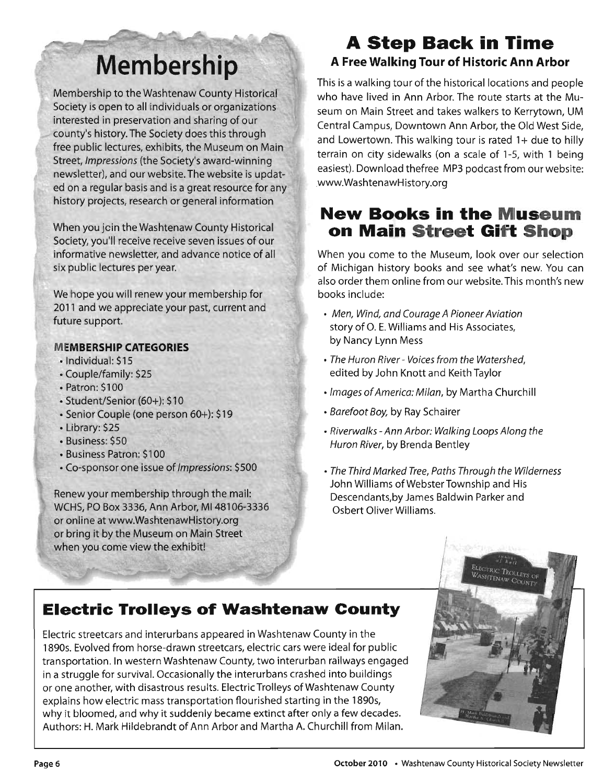# **Membership**

Membership to the Washtenaw County Historical Society is open to all individuals or organizations interested in preservation and sharing of our county's history. The Society does this through free public lectures, exhibits, the Museum on Main Street, Impressions (the Society's award-winning newsletter), and our website. The website is updated on a regular basis and is a great resource for any history projects, research or general information

When you join the Washtenaw County Historical . Society, you'll receive receive seven issues of our informative newsletter, and advance notice of all six public lectures per year.

We hope you will renew your membership for 2011 and we appreciate your past, current and future support.

#### **MEMBERSHIP CATEGORIES**

- Individual: \$15
- Couple/family: \$25
- Patron: \$100
- Student/Senior (60+): \$10
- Senior Couple (one person 60+): \$19
- Library: \$25
- Business: \$50
- Business Patron: \$100
- Co-sponsor one issue of Impressions: \$500

Renew your membership through the mail: WCHS, PO Box 3336, Ann Arbor, M148106-3336 or online at www.WashtenawHistory.org or bring it by the Museum on Main Street when you come view the exhibit!

# **A Step Back in Time**

#### **A Free Walking Tour of Historic Ann Arbor**

This is a walking tour of the historical locations and people who have lived in Ann Arbor. The route starts at the Museum on Main Street and takes walkers to Kerrytown, UM Central Campus, Downtown Ann Arbor, the Old West Side, and Lowertown. This walking tour is rated  $1+$  due to hilly terrain on city sidewalks (on a scale of 1-5, with 1 being easiest). Download thefree MP3 podcast from our website: wwwWashtenawHistory.org

# **New Books in the Museum on Main Street Gift Shop**

When you come to the Museum, look over our selection of Michigan history books and see what's new. You can also order them online from our website. This month's new books include:

- Men, Wind, and Courage A Pioneer Aviation story of O. E. Williams and His Associates, by Nancy Lynn Mess
- The Huron River Voices from the Watershed, edited by John Knott and Keith Taylor
- Images of America: Milan, by Martha Churchill
- Barefoot Boy, by Ray Schairer
- Riverwalks -Ann Arbor: Walking Loops Along the Huron River, by Brenda Bentley
- The Third Marked Tree, Paths Through the Wilderness John Williams of Webster Township and His Descendants,by James Baldwin Parker and Osbert Oliver Williams.

# **Electric Trolleys of Washtenaw County**

Electric streetcars and interurbans appeared in Washtenaw County in the 1890s. Evolved from horse-drawn streetcars, electric cars were ideal for public transportation. In western Washtenaw County, two interurban railways engaged in a struggle for survival. Occasionally the interurbans crashed into buildings or one another, with disastrous results. Electric Trolleys ofWashtenaw County explains how electric mass transportation flourished starting in the 1890s, why it bloomed, and why it suddenly became extinct after only a few decades. Authors: H. Mark Hildebrandt of Ann Arbor and Martha A. Churchill from Milan.

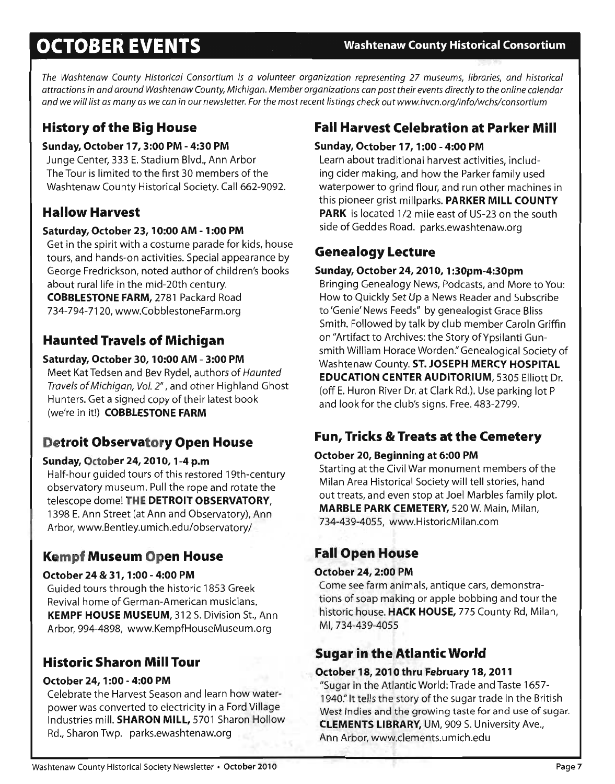# **OCTOBER EVENTS Washtenaw County Historical Consortium**

*The Washtenaw County Historical Consortium is a volunteer organization representing* 27 *museums, libraries, and historical attractions in and around Washtenaw County, Michigan. Member organizations can post their events directly* to *the online calendar and* we *will list as many as* we *can in our newsletter. For the most recent listings check out www.hvcn.org/info/wchs/consortium* 

## **History of the Big House**

#### **Sunday, October 17, 3:00 PM - 4:30 PM**

Junge Center, 333 E. Stadium Blvd., Ann Arbor The Tour is limited to the first 30 members of the Washtenaw County Historical Society. Call 662-9092.

## **Hallow Harvest**

#### **Saturday, October 23, 10:00 AM - 1 :00 PM**

Get in the spirit with a costume parade for kids, house tours, and hands-on activities. Special appearance by George Fredrickson, noted author of children's books about rural life in the mid-20th century. **COBBLESTONE FARM,** 2781 Packard Road 734-794-7120, www.CobblestoneFarm.org

## **Haunted Travels of Michigan**

#### **Saturday, October 30, 10:00 AM - 3:00 PM**

Meet KatTedsen and Bev Rydel, authors of *Haunted Travels* of *Michigan, Vol.* 2" , and other Highland Ghost Hunters. Get a signed copy of their latest book (we're in it!) **COBBLESTONE FARM** 

# **Detroit Observatory Open House**

#### **Sunday, October 24, 2010, 1-4 p.m**

Half-hour guided tours of this restored 19th-century observatory museum. Pull the rope and rotate the telescope dome! **THE DETROIT OBSERVATORY,**  1398 E. Ann Street (at Ann and Observatory), Ann Arbor, www.Bentley.umich.edu/observatory/

## **Kempf Museum Open House**

#### **October 24 & 31, 1 :00 - 4:00 PM**

Guided tours through the historic 1853 Greek Revival home of German-American musicians. **KEMPF HOUSE MUSEUM,** 312 S. Division St., Ann Arbor, 994-4898, www.KempfHouseMuseum.org

# **Historic Sharon Mill Tour**

#### **October 24, 1 :00 - 4:00 PM**

Celebrate the Harvest Season and learn how waterpower was converted to electricity in a Ford Village Industries mill. **SHARON MILL,** 5701 Sharon Hollow Rd., Sharon Twp. parks.ewashtenaw.org

# **Fall Harvest Celebration at Parker Mill**

#### **Sunday, October 17,1 :00 - 4:00 PM**

Learn about traditional harvest activities, including cider making, and how the Parker family used waterpower to grind flour, and run other machines in this pioneer grist millparks. **PARKER MILL COUNTY PARK** is located 1/2 mile east of US-23 on the south side of Geddes Road. parks.ewashtenaw.org

## **Genealogy Lecture**

#### **Sunday, October 24, 2010, 1 :30pm-4:30pm**

Bringing Genealogy News, Podcasts, and More to You: How to Quickly Set Up a News Reader and Subscribe to 'Genie' News Feeds" by genealogist Grace Bliss Smith. Followed by talk by club member Caroln Griffin on "Artifact to Archives: the Story of Ypsilanti Gunsmith William Horace Worden:' Genealogical Society of Washtenaw County. **ST. JOSEPH MERCY HOSPITAL EDUCATION CENTER AUDITORIUM,** 5305 Elliott Dr. (off E. Huron River Dr. at Clark Rd.). Use parking lot P and look for the club's signs. Free. 483-2799.

# **Fun, Tricks 8r Treats at the Cemetery**

#### **October 20, Beginning at 6:00 PM**

Starting at the Civil War monument members of the Milan Area Historical Society will tell stories, hand out treats, and even stop at Joel Marbles family plot. **MARBLE PARK CEMETERY,** 520 W. Main, Milan, 734-439-4055, www.HistoricMilan.com

## **Fall Open House**

#### **October 24, 2:00 PM**

Come see farm animals, antique cars, demonstrations of soap making or apple bobbing and tour the historic house. **HACK HOUSE,** 775 County Rd, Milan, MI,734-439-4055

# **Sugar in the Atlantic World**

#### **October 18, 2010 thru February 18, 2011**

"Sugar in the Atlantic World: Trade and Taste 1657- 1940." It tells the story of the sugar trade in the British West Indies and the growing taste for and use of sugar. **CLEMENTS LIBRARY,** UM, 909 S. University Ave., Ann Arbor, www.clements.umich.edu